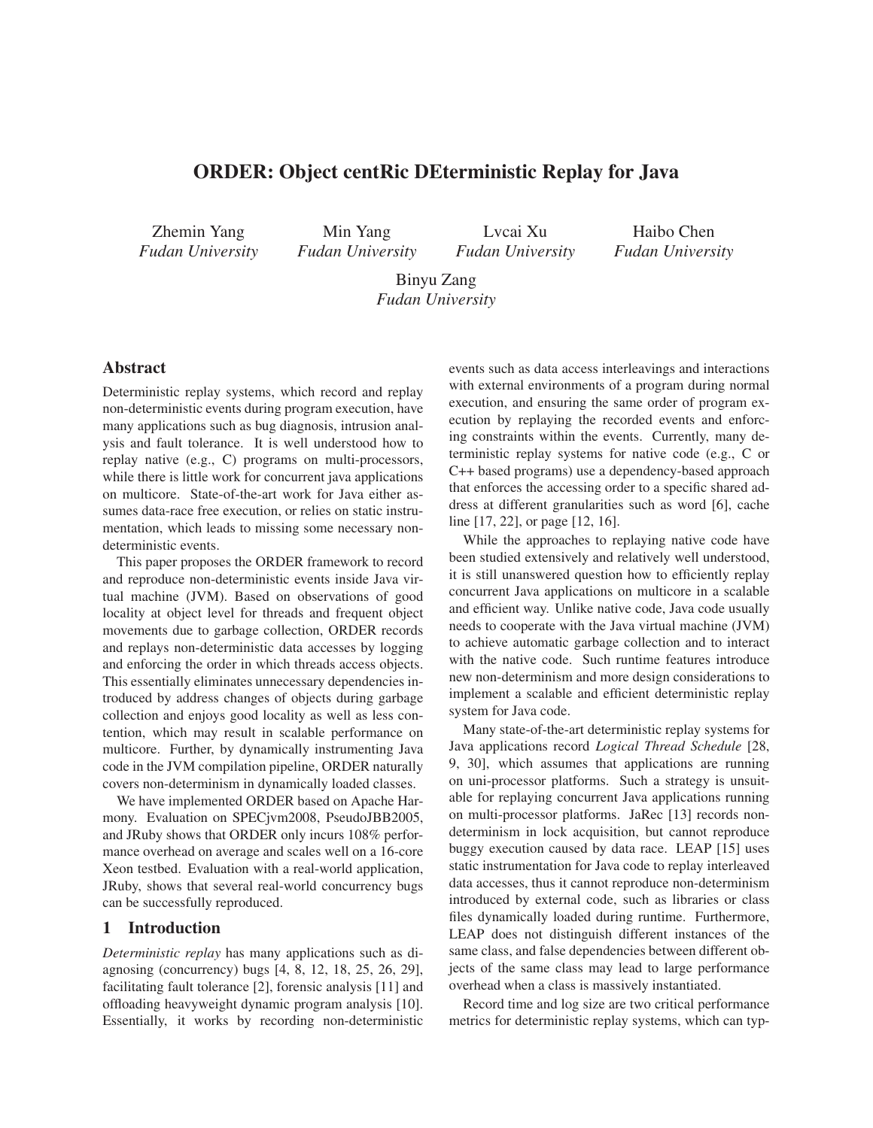# ORDER: Object centRic DEterministic Replay for Java

Zhemin Yang *Fudan University*

Min Yang *Fudan University*

Lvcai Xu *Fudan University*

Haibo Chen *Fudan University*

Binyu Zang *Fudan University*

# Abstract

Deterministic replay systems, which record and replay non-deterministic events during program execution, have many applications such as bug diagnosis, intrusion analysis and fault tolerance. It is well understood how to replay native (e.g., C) programs on multi-processors, while there is little work for concurrent java applications on multicore. State-of-the-art work for Java either assumes data-race free execution, or relies on static instrumentation, which leads to missing some necessary nondeterministic events.

This paper proposes the ORDER framework to record and reproduce non-deterministic events inside Java virtual machine (JVM). Based on observations of good locality at object level for threads and frequent object movements due to garbage collection, ORDER records and replays non-deterministic data accesses by logging and enforcing the order in which threads access objects. This essentially eliminates unnecessary dependencies introduced by address changes of objects during garbage collection and enjoys good locality as well as less contention, which may result in scalable performance on multicore. Further, by dynamically instrumenting Java code in the JVM compilation pipeline, ORDER naturally covers non-determinism in dynamically loaded classes.

We have implemented ORDER based on Apache Harmony. Evaluation on SPECjvm2008, PseudoJBB2005, and JRuby shows that ORDER only incurs 108% performance overhead on average and scales well on a 16-core Xeon testbed. Evaluation with a real-world application, JRuby, shows that several real-world concurrency bugs can be successfully reproduced.

## 1 Introduction

*Deterministic replay* has many applications such as diagnosing (concurrency) bugs [4, 8, 12, 18, 25, 26, 29], facilitating fault tolerance [2], forensic analysis [11] and offloading heavyweight dynamic program analysis [10]. Essentially, it works by recording non-deterministic events such as data access interleavings and interactions with external environments of a program during normal execution, and ensuring the same order of program execution by replaying the recorded events and enforcing constraints within the events. Currently, many deterministic replay systems for native code (e.g., C or C++ based programs) use a dependency-based approach that enforces the accessing order to a specific shared address at different granularities such as word [6], cache line [17, 22], or page [12, 16].

While the approaches to replaying native code have been studied extensively and relatively well understood, it is still unanswered question how to efficiently replay concurrent Java applications on multicore in a scalable and efficient way. Unlike native code, Java code usually needs to cooperate with the Java virtual machine (JVM) to achieve automatic garbage collection and to interact with the native code. Such runtime features introduce new non-determinism and more design considerations to implement a scalable and efficient deterministic replay system for Java code.

Many state-of-the-art deterministic replay systems for Java applications record *Logical Thread Schedule* [28, 9, 30], which assumes that applications are running on uni-processor platforms. Such a strategy is unsuitable for replaying concurrent Java applications running on multi-processor platforms. JaRec [13] records nondeterminism in lock acquisition, but cannot reproduce buggy execution caused by data race. LEAP [15] uses static instrumentation for Java code to replay interleaved data accesses, thus it cannot reproduce non-determinism introduced by external code, such as libraries or class files dynamically loaded during runtime. Furthermore, LEAP does not distinguish different instances of the same class, and false dependencies between different objects of the same class may lead to large performance overhead when a class is massively instantiated.

Record time and log size are two critical performance metrics for deterministic replay systems, which can typ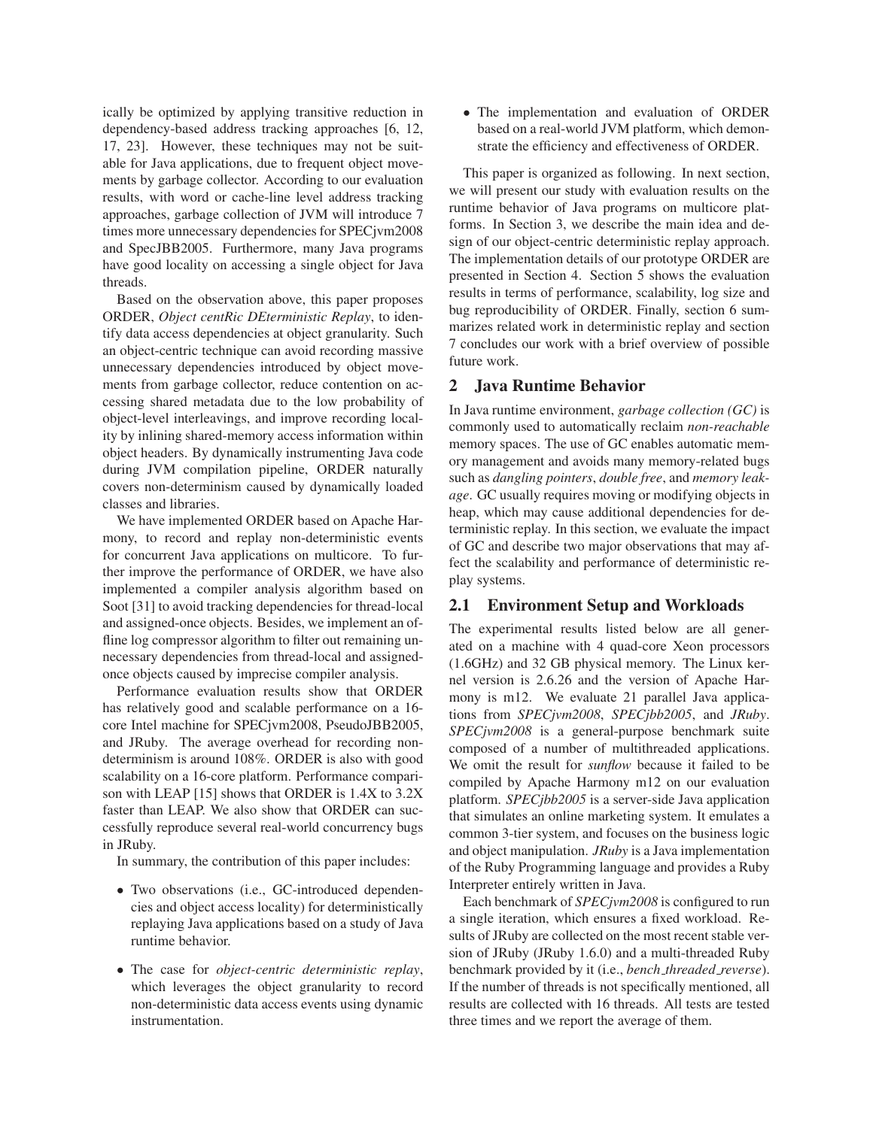ically be optimized by applying transitive reduction in dependency-based address tracking approaches [6, 12, 17, 23]. However, these techniques may not be suitable for Java applications, due to frequent object movements by garbage collector. According to our evaluation results, with word or cache-line level address tracking approaches, garbage collection of JVM will introduce 7 times more unnecessary dependencies for SPECjvm2008 and SpecJBB2005. Furthermore, many Java programs have good locality on accessing a single object for Java threads.

Based on the observation above, this paper proposes ORDER, *Object centRic DEterministic Replay*, to identify data access dependencies at object granularity. Such an object-centric technique can avoid recording massive unnecessary dependencies introduced by object movements from garbage collector, reduce contention on accessing shared metadata due to the low probability of object-level interleavings, and improve recording locality by inlining shared-memory access information within object headers. By dynamically instrumenting Java code during JVM compilation pipeline, ORDER naturally covers non-determinism caused by dynamically loaded classes and libraries.

We have implemented ORDER based on Apache Harmony, to record and replay non-deterministic events for concurrent Java applications on multicore. To further improve the performance of ORDER, we have also implemented a compiler analysis algorithm based on Soot [31] to avoid tracking dependencies for thread-local and assigned-once objects. Besides, we implement an offline log compressor algorithm to filter out remaining unnecessary dependencies from thread-local and assignedonce objects caused by imprecise compiler analysis.

Performance evaluation results show that ORDER has relatively good and scalable performance on a 16 core Intel machine for SPECjvm2008, PseudoJBB2005, and JRuby. The average overhead for recording nondeterminism is around 108%. ORDER is also with good scalability on a 16-core platform. Performance comparison with LEAP [15] shows that ORDER is 1.4X to 3.2X faster than LEAP. We also show that ORDER can successfully reproduce several real-world concurrency bugs in JRuby.

In summary, the contribution of this paper includes:

- Two observations (i.e., GC-introduced dependencies and object access locality) for deterministically replaying Java applications based on a study of Java runtime behavior.
- The case for *object-centric deterministic replay*, which leverages the object granularity to record non-deterministic data access events using dynamic instrumentation.

• The implementation and evaluation of ORDER based on a real-world JVM platform, which demonstrate the efficiency and effectiveness of ORDER.

This paper is organized as following. In next section, we will present our study with evaluation results on the runtime behavior of Java programs on multicore platforms. In Section 3, we describe the main idea and design of our object-centric deterministic replay approach. The implementation details of our prototype ORDER are presented in Section 4. Section 5 shows the evaluation results in terms of performance, scalability, log size and bug reproducibility of ORDER. Finally, section 6 summarizes related work in deterministic replay and section 7 concludes our work with a brief overview of possible future work.

## 2 Java Runtime Behavior

In Java runtime environment, *garbage collection (GC)* is commonly used to automatically reclaim *non-reachable* memory spaces. The use of GC enables automatic memory management and avoids many memory-related bugs such as *dangling pointers*, *double free*, and *memory leakage*. GC usually requires moving or modifying objects in heap, which may cause additional dependencies for deterministic replay. In this section, we evaluate the impact of GC and describe two major observations that may affect the scalability and performance of deterministic replay systems.

## 2.1 Environment Setup and Workloads

The experimental results listed below are all generated on a machine with 4 quad-core Xeon processors (1.6GHz) and 32 GB physical memory. The Linux kernel version is 2.6.26 and the version of Apache Harmony is m12. We evaluate 21 parallel Java applications from *SPECjvm2008*, *SPECjbb2005*, and *JRuby*. *SPECjvm2008* is a general-purpose benchmark suite composed of a number of multithreaded applications. We omit the result for *sunflow* because it failed to be compiled by Apache Harmony m12 on our evaluation platform. *SPECjbb2005* is a server-side Java application that simulates an online marketing system. It emulates a common 3-tier system, and focuses on the business logic and object manipulation. *JRuby* is a Java implementation of the Ruby Programming language and provides a Ruby Interpreter entirely written in Java.

Each benchmark of *SPECjvm2008* is configured to run a single iteration, which ensures a fixed workload. Results of JRuby are collected on the most recent stable version of JRuby (JRuby 1.6.0) and a multi-threaded Ruby benchmark provided by it (i.e., *bench threaded reverse*). If the number of threads is not specifically mentioned, all results are collected with 16 threads. All tests are tested three times and we report the average of them.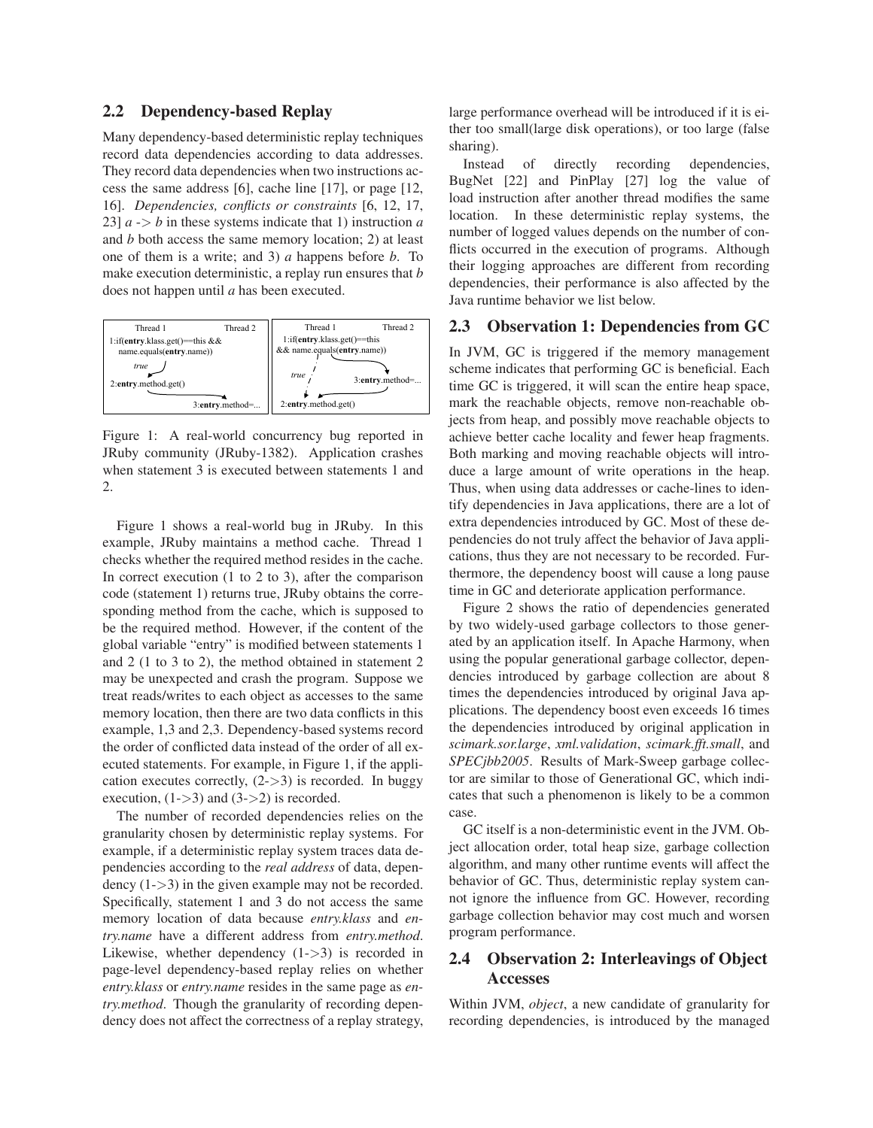## 2.2 Dependency-based Replay

Many dependency-based deterministic replay techniques record data dependencies according to data addresses. They record data dependencies when two instructions access the same address [6], cache line [17], or page [12, 16]. *Dependencies, conflicts or constraints* [6, 12, 17, 23]  $a \rightarrow b$  in these systems indicate that 1) instruction *a* and *b* both access the same memory location; 2) at least one of them is a write; and 3) *a* happens before *b*. To make execution deterministic, a replay run ensures that *b* does not happen until *a* has been executed.



Figure 1: A real-world concurrency bug reported in JRuby community (JRuby-1382). Application crashes when statement 3 is executed between statements 1 and 2.

Figure 1 shows a real-world bug in JRuby. In this example, JRuby maintains a method cache. Thread 1 checks whether the required method resides in the cache. In correct execution (1 to 2 to 3), after the comparison code (statement 1) returns true, JRuby obtains the corresponding method from the cache, which is supposed to be the required method. However, if the content of the global variable "entry" is modified between statements 1 and 2 (1 to 3 to 2), the method obtained in statement 2 may be unexpected and crash the program. Suppose we treat reads/writes to each object as accesses to the same memory location, then there are two data conflicts in this example, 1,3 and 2,3. Dependency-based systems record the order of conflicted data instead of the order of all executed statements. For example, in Figure 1, if the application executes correctly,  $(2->3)$  is recorded. In buggy execution,  $(1-3)$  and  $(3-2)$  is recorded.

The number of recorded dependencies relies on the granularity chosen by deterministic replay systems. For example, if a deterministic replay system traces data dependencies according to the *real address* of data, dependency (1->3) in the given example may not be recorded. Specifically, statement 1 and 3 do not access the same memory location of data because *entry.klass* and *entry.name* have a different address from *entry.method*. Likewise, whether dependency  $(1->3)$  is recorded in page-level dependency-based replay relies on whether *entry.klass* or *entry.name* resides in the same page as *entry.method*. Though the granularity of recording dependency does not affect the correctness of a replay strategy, large performance overhead will be introduced if it is either too small(large disk operations), or too large (false sharing).

Instead of directly recording dependencies, BugNet [22] and PinPlay [27] log the value of load instruction after another thread modifies the same location. In these deterministic replay systems, the number of logged values depends on the number of conflicts occurred in the execution of programs. Although their logging approaches are different from recording dependencies, their performance is also affected by the Java runtime behavior we list below.

### 2.3 Observation 1: Dependencies from GC

In JVM, GC is triggered if the memory management scheme indicates that performing GC is beneficial. Each time GC is triggered, it will scan the entire heap space, mark the reachable objects, remove non-reachable objects from heap, and possibly move reachable objects to achieve better cache locality and fewer heap fragments. Both marking and moving reachable objects will introduce a large amount of write operations in the heap. Thus, when using data addresses or cache-lines to identify dependencies in Java applications, there are a lot of extra dependencies introduced by GC. Most of these dependencies do not truly affect the behavior of Java applications, thus they are not necessary to be recorded. Furthermore, the dependency boost will cause a long pause time in GC and deteriorate application performance.

Figure 2 shows the ratio of dependencies generated by two widely-used garbage collectors to those generated by an application itself. In Apache Harmony, when using the popular generational garbage collector, dependencies introduced by garbage collection are about 8 times the dependencies introduced by original Java applications. The dependency boost even exceeds 16 times the dependencies introduced by original application in *scimark.sor.large*, *xml.validation*, *scimark.fft.small*, and *SPECjbb2005*. Results of Mark-Sweep garbage collector are similar to those of Generational GC, which indicates that such a phenomenon is likely to be a common case.

GC itself is a non-deterministic event in the JVM. Object allocation order, total heap size, garbage collection algorithm, and many other runtime events will affect the behavior of GC. Thus, deterministic replay system cannot ignore the influence from GC. However, recording garbage collection behavior may cost much and worsen program performance.

# 2.4 Observation 2: Interleavings of Object Accesses

Within JVM, *object*, a new candidate of granularity for recording dependencies, is introduced by the managed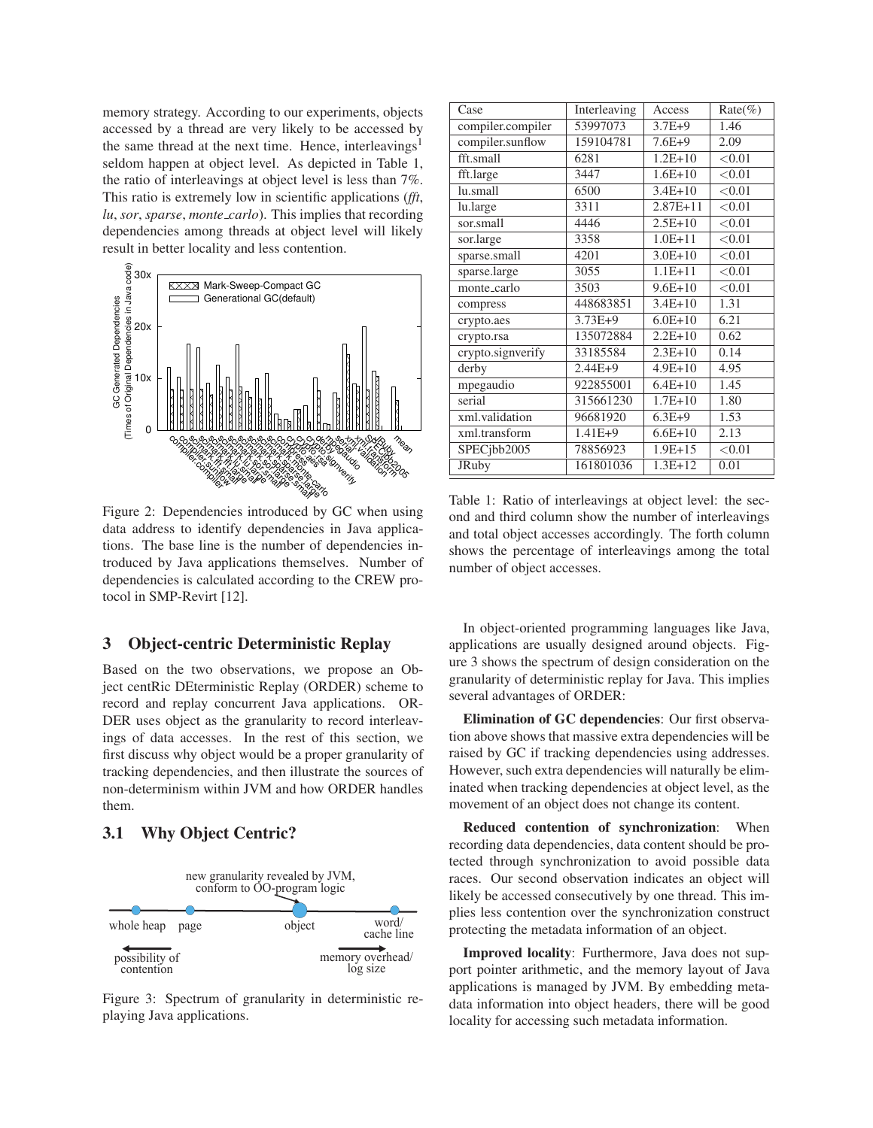memory strategy. According to our experiments, objects accessed by a thread are very likely to be accessed by the same thread at the next time. Hence, interleavings<sup>1</sup> seldom happen at object level. As depicted in Table 1, the ratio of interleavings at object level is less than 7%. This ratio is extremely low in scientific applications (*fft*, *lu*, *sor*, *sparse*, *monte carlo*). This implies that recording dependencies among threads at object level will likely result in better locality and less contention.



Figure 2: Dependencies introduced by GC when using data address to identify dependencies in Java applications. The base line is the number of dependencies introduced by Java applications themselves. Number of dependencies is calculated according to the CREW protocol in SMP-Revirt [12].

# 3 Object-centric Deterministic Replay

Based on the two observations, we propose an Object centRic DEterministic Replay (ORDER) scheme to record and replay concurrent Java applications. OR-DER uses object as the granularity to record interleavings of data accesses. In the rest of this section, we first discuss why object would be a proper granularity of tracking dependencies, and then illustrate the sources of non-determinism within JVM and how ORDER handles them.

# 3.1 Why Object Centric?



Figure 3: Spectrum of granularity in deterministic replaying Java applications.

| Case              | Interleaving | Access       | $Rate(\%)$ |
|-------------------|--------------|--------------|------------|
| compiler.compiler | 53997073     | $3.7E+9$     | 1.46       |
| compiler.sunflow  | 159104781    | $7.6E+9$     | 2.09       |
| fft.small         | 6281         | $1.2E + 10$  | < 0.01     |
| fft.large         | 3447         | $1.6E + 10$  | < 0.01     |
| lu.small          | 6500         | $3.4E + 10$  | < 0.01     |
| lu.large          | 3311         | $2.87E + 11$ | < 0.01     |
| sor.small         | 4446         | $2.5E+10$    | < 0.01     |
| sor.large         | 3358         | $1.0E + 11$  | < 0.01     |
| sparse.small      | 4201         | $3.0E + 10$  | < 0.01     |
| sparse.large      | 3055         | $1.1E + 11$  | < 0.01     |
| monte_carlo       | 3503         | $9.6E + 10$  | < 0.01     |
| compress          | 448683851    | $3.4E + 10$  | 1.31       |
| crypto.aes        | $3.73E+9$    | $6.0E + 10$  | 6.21       |
| crypto.rsa        | 135072884    | $2.2E + 10$  | 0.62       |
| crypto.signverify | 33185584     | $2.3E+10$    | 0.14       |
| derby             | 2.44E+9      | $4.9E + 10$  | 4.95       |
| mpegaudio         | 922855001    | $6.4E + 10$  | 1.45       |
| serial            | 315661230    | $1.7E + 10$  | 1.80       |
| xml.validation    | 96681920     | $6.3E+9$     | 1.53       |
| xml.transform     | $1.41E + 9$  | $6.6E + 10$  | 2.13       |
| SPECjbb2005       | 78856923     | $1.9E + 15$  | < 0.01     |
| <b>JRuby</b>      | 161801036    | $1.3E+12$    | 0.01       |

Table 1: Ratio of interleavings at object level: the second and third column show the number of interleavings and total object accesses accordingly. The forth column shows the percentage of interleavings among the total number of object accesses.

In object-oriented programming languages like Java, applications are usually designed around objects. Figure 3 shows the spectrum of design consideration on the granularity of deterministic replay for Java. This implies several advantages of ORDER:

Elimination of GC dependencies: Our first observation above shows that massive extra dependencies will be raised by GC if tracking dependencies using addresses. However, such extra dependencies will naturally be eliminated when tracking dependencies at object level, as the movement of an object does not change its content.

Reduced contention of synchronization: When recording data dependencies, data content should be protected through synchronization to avoid possible data races. Our second observation indicates an object will likely be accessed consecutively by one thread. This implies less contention over the synchronization construct protecting the metadata information of an object.

Improved locality: Furthermore, Java does not support pointer arithmetic, and the memory layout of Java applications is managed by JVM. By embedding metadata information into object headers, there will be good locality for accessing such metadata information.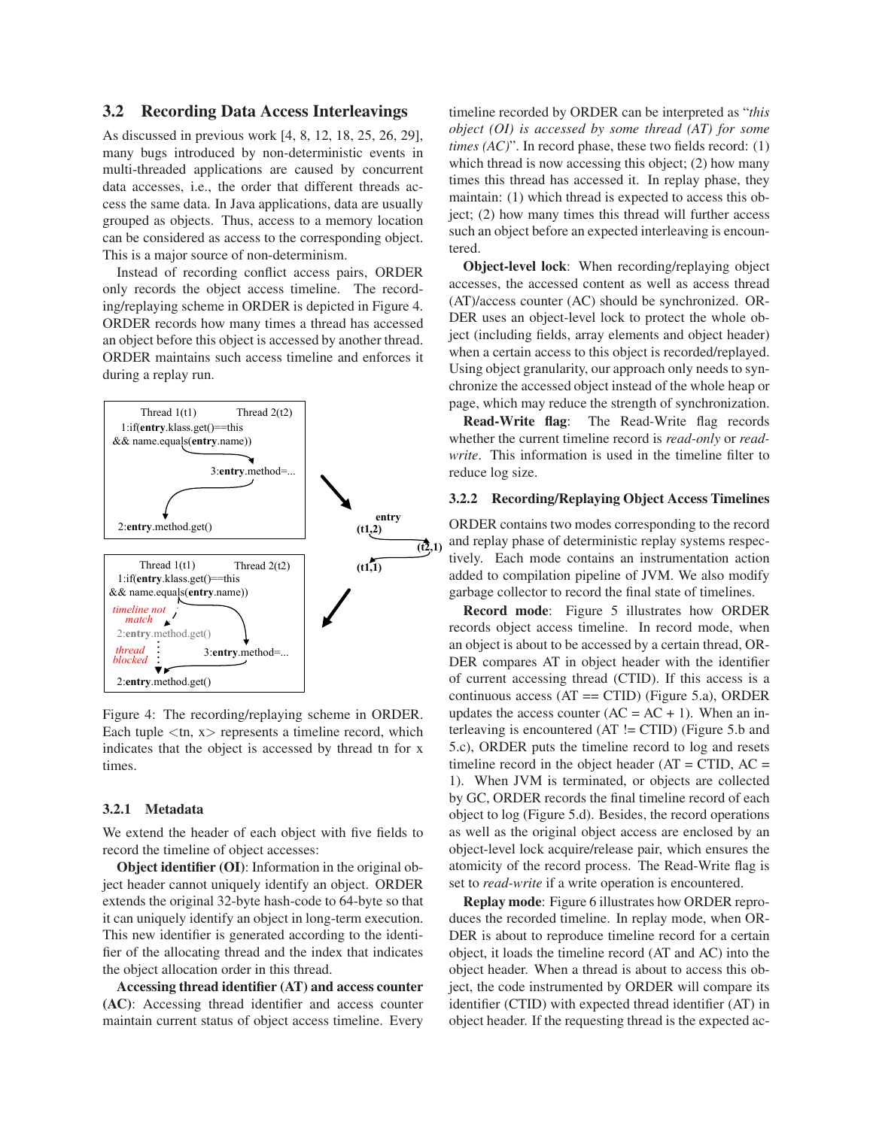## 3.2 Recording Data Access Interleavings

As discussed in previous work [4, 8, 12, 18, 25, 26, 29], many bugs introduced by non-deterministic events in multi-threaded applications are caused by concurrent data accesses, i.e., the order that different threads access the same data. In Java applications, data are usually grouped as objects. Thus, access to a memory location can be considered as access to the corresponding object. This is a major source of non-determinism.

Instead of recording conflict access pairs, ORDER only records the object access timeline. The recording/replaying scheme in ORDER is depicted in Figure 4. ORDER records how many times a thread has accessed an object before this object is accessed by another thread. ORDER maintains such access timeline and enforces it during a replay run.



Figure 4: The recording/replaying scheme in ORDER. Each tuple  $\langle \text{tn}, \text{x} \rangle$  represents a timeline record, which indicates that the object is accessed by thread tn for x times.

### 3.2.1 Metadata

We extend the header of each object with five fields to record the timeline of object accesses:

Object identifier (OI): Information in the original object header cannot uniquely identify an object. ORDER extends the original 32-byte hash-code to 64-byte so that it can uniquely identify an object in long-term execution. This new identifier is generated according to the identifier of the allocating thread and the index that indicates the object allocation order in this thread.

Accessing thread identifier (AT) and access counter (AC): Accessing thread identifier and access counter maintain current status of object access timeline. Every timeline recorded by ORDER can be interpreted as "*this object (OI) is accessed by some thread (AT) for some times (AC)*". In record phase, these two fields record: (1) which thread is now accessing this object; (2) how many times this thread has accessed it. In replay phase, they maintain: (1) which thread is expected to access this object; (2) how many times this thread will further access such an object before an expected interleaving is encountered.

Object-level lock: When recording/replaying object accesses, the accessed content as well as access thread (AT)/access counter (AC) should be synchronized. OR-DER uses an object-level lock to protect the whole object (including fields, array elements and object header) when a certain access to this object is recorded/replayed. Using object granularity, our approach only needs to synchronize the accessed object instead of the whole heap or page, which may reduce the strength of synchronization.

Read-Write flag: The Read-Write flag records whether the current timeline record is *read-only* or *readwrite*. This information is used in the timeline filter to reduce log size.

#### 3.2.2 Recording/Replaying Object Access Timelines

ORDER contains two modes corresponding to the record and replay phase of deterministic replay systems respectively. Each mode contains an instrumentation action added to compilation pipeline of JVM. We also modify garbage collector to record the final state of timelines.

Record mode: Figure 5 illustrates how ORDER records object access timeline. In record mode, when an object is about to be accessed by a certain thread, OR-DER compares AT in object header with the identifier of current accessing thread (CTID). If this access is a continuous access  $(AT = CTID)$  (Figure 5.a), ORDER updates the access counter  $(AC = AC + 1)$ . When an interleaving is encountered (AT != CTID) (Figure 5.b and 5.c), ORDER puts the timeline record to log and resets timeline record in the object header  $(AT = CTID, AC =$ 1). When JVM is terminated, or objects are collected by GC, ORDER records the final timeline record of each object to log (Figure 5.d). Besides, the record operations as well as the original object access are enclosed by an object-level lock acquire/release pair, which ensures the atomicity of the record process. The Read-Write flag is set to *read-write* if a write operation is encountered.

Replay mode: Figure 6 illustrates how ORDER reproduces the recorded timeline. In replay mode, when OR-DER is about to reproduce timeline record for a certain object, it loads the timeline record (AT and AC) into the object header. When a thread is about to access this object, the code instrumented by ORDER will compare its identifier (CTID) with expected thread identifier (AT) in object header. If the requesting thread is the expected ac-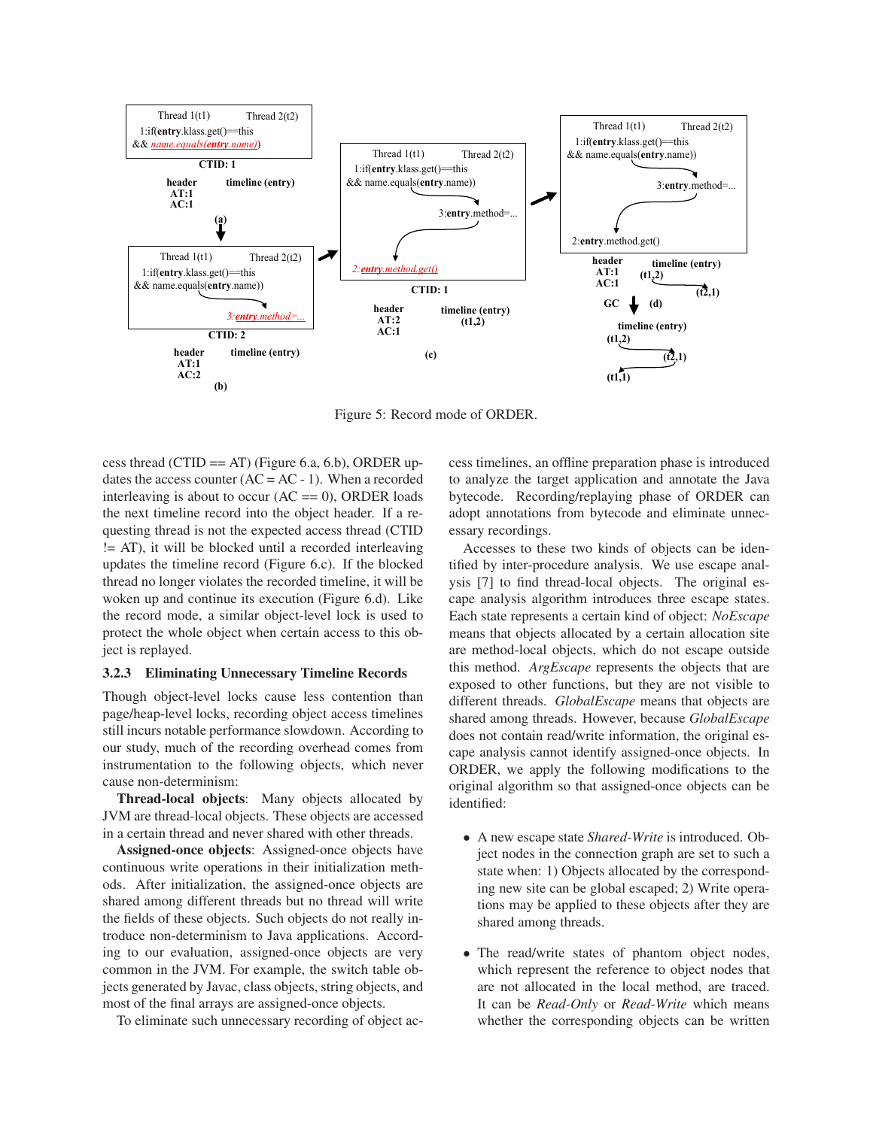

Figure 5: Record mode of ORDER.

cess thread (CTID == AT) (Figure 6.a, 6.b), ORDER updates the access counter  $(AC = AC - 1)$ . When a recorded interleaving is about to occur  $(AC == 0)$ , ORDER loads the next timeline record into the object header. If a requesting thread is not the expected access thread (CTID != AT), it will be blocked until a recorded interleaving updates the timeline record (Figure 6.c). If the blocked thread no longer violates the recorded timeline, it will be woken up and continue its execution (Figure 6.d). Like the record mode, a similar object-level lock is used to protect the whole object when certain access to this object is replayed.

### 3.2.3 Eliminating Unnecessary Timeline Records

Though object-level locks cause less contention than page/heap-level locks, recording object access timelines still incurs notable performance slowdown. According to our study, much of the recording overhead comes from instrumentation to the following objects, which never cause non-determinism:

Thread-local objects: Many objects allocated by JVM are thread-local objects. These objects are accessed in a certain thread and never shared with other threads.

Assigned-once objects: Assigned-once objects have continuous write operations in their initialization methods. After initialization, the assigned-once objects are shared among different threads but no thread will write the fields of these objects. Such objects do not really introduce non-determinism to Java applications. According to our evaluation, assigned-once objects are very common in the JVM. For example, the switch table objects generated by Javac, class objects, string objects, and most of the final arrays are assigned-once objects.

To eliminate such unnecessary recording of object ac-

cess timelines, an offline preparation phase is introduced to analyze the target application and annotate the Java bytecode. Recording/replaying phase of ORDER can adopt annotations from bytecode and eliminate unnecessary recordings.

Accesses to these two kinds of objects can be identified by inter-procedure analysis. We use escape analysis [7] to find thread-local objects. The original escape analysis algorithm introduces three escape states. Each state represents a certain kind of object: *NoEscape* means that objects allocated by a certain allocation site are method-local objects, which do not escape outside this method. *ArgEscape* represents the objects that are exposed to other functions, but they are not visible to different threads. *GlobalEscape* means that objects are shared among threads. However, because *GlobalEscape* does not contain read/write information, the original escape analysis cannot identify assigned-once objects. In ORDER, we apply the following modifications to the original algorithm so that assigned-once objects can be identified:

- A new escape state *Shared-Write* is introduced. Object nodes in the connection graph are set to such a state when: 1) Objects allocated by the corresponding new site can be global escaped; 2) Write operations may be applied to these objects after they are shared among threads.
- The read/write states of phantom object nodes, which represent the reference to object nodes that are not allocated in the local method, are traced. It can be *Read-Only* or *Read-Write* which means whether the corresponding objects can be written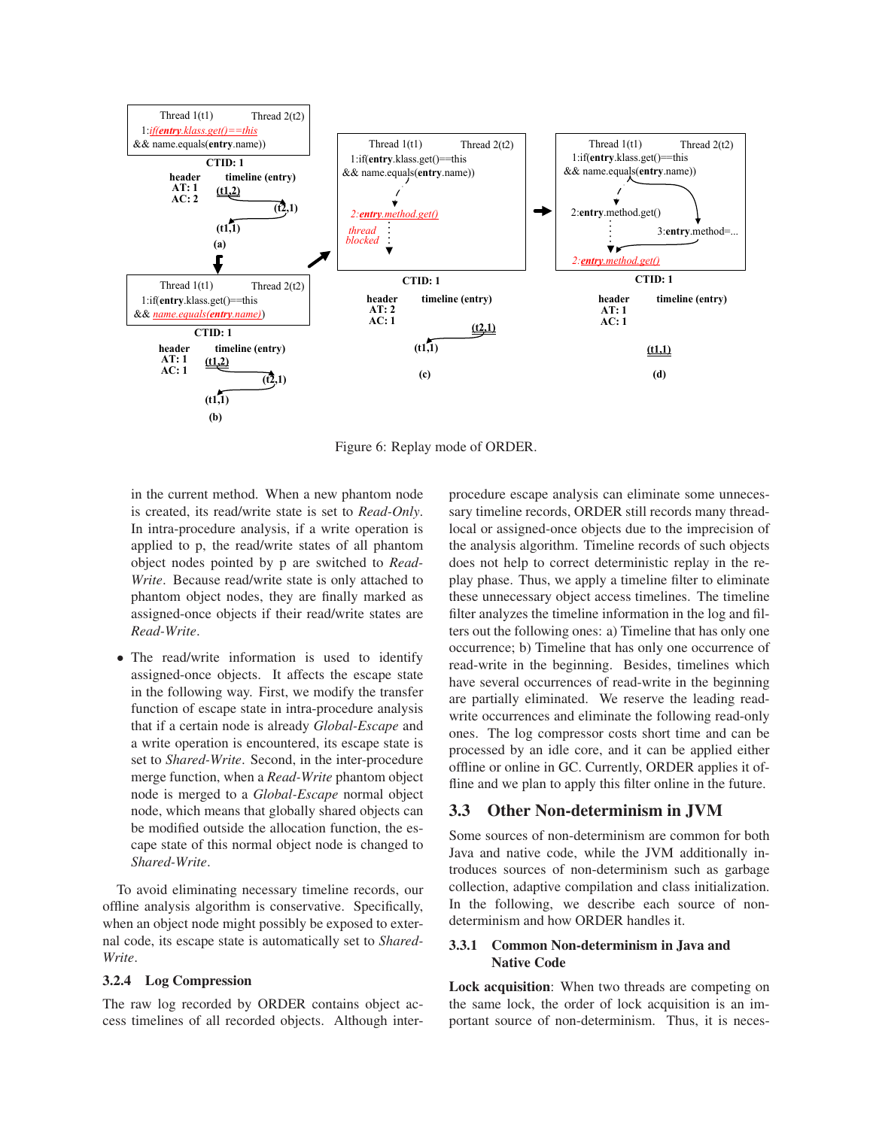

Figure 6: Replay mode of ORDER.

in the current method. When a new phantom node is created, its read/write state is set to *Read-Only*. In intra-procedure analysis, if a write operation is applied to p, the read/write states of all phantom object nodes pointed by p are switched to *Read-Write*. Because read/write state is only attached to phantom object nodes, they are finally marked as assigned-once objects if their read/write states are *Read-Write*.

• The read/write information is used to identify assigned-once objects. It affects the escape state in the following way. First, we modify the transfer function of escape state in intra-procedure analysis that if a certain node is already *Global-Escape* and a write operation is encountered, its escape state is set to *Shared-Write*. Second, in the inter-procedure merge function, when a *Read-Write* phantom object node is merged to a *Global-Escape* normal object node, which means that globally shared objects can be modified outside the allocation function, the escape state of this normal object node is changed to *Shared-Write*.

To avoid eliminating necessary timeline records, our offline analysis algorithm is conservative. Specifically, when an object node might possibly be exposed to external code, its escape state is automatically set to *Shared-Write*.

#### 3.2.4 Log Compression

The raw log recorded by ORDER contains object access timelines of all recorded objects. Although interprocedure escape analysis can eliminate some unnecessary timeline records, ORDER still records many threadlocal or assigned-once objects due to the imprecision of the analysis algorithm. Timeline records of such objects does not help to correct deterministic replay in the replay phase. Thus, we apply a timeline filter to eliminate these unnecessary object access timelines. The timeline filter analyzes the timeline information in the log and filters out the following ones: a) Timeline that has only one occurrence; b) Timeline that has only one occurrence of read-write in the beginning. Besides, timelines which have several occurrences of read-write in the beginning are partially eliminated. We reserve the leading readwrite occurrences and eliminate the following read-only ones. The log compressor costs short time and can be processed by an idle core, and it can be applied either offline or online in GC. Currently, ORDER applies it offline and we plan to apply this filter online in the future.

# 3.3 Other Non-determinism in JVM

Some sources of non-determinism are common for both Java and native code, while the JVM additionally introduces sources of non-determinism such as garbage collection, adaptive compilation and class initialization. In the following, we describe each source of nondeterminism and how ORDER handles it.

## 3.3.1 Common Non-determinism in Java and Native Code

Lock acquisition: When two threads are competing on the same lock, the order of lock acquisition is an important source of non-determinism. Thus, it is neces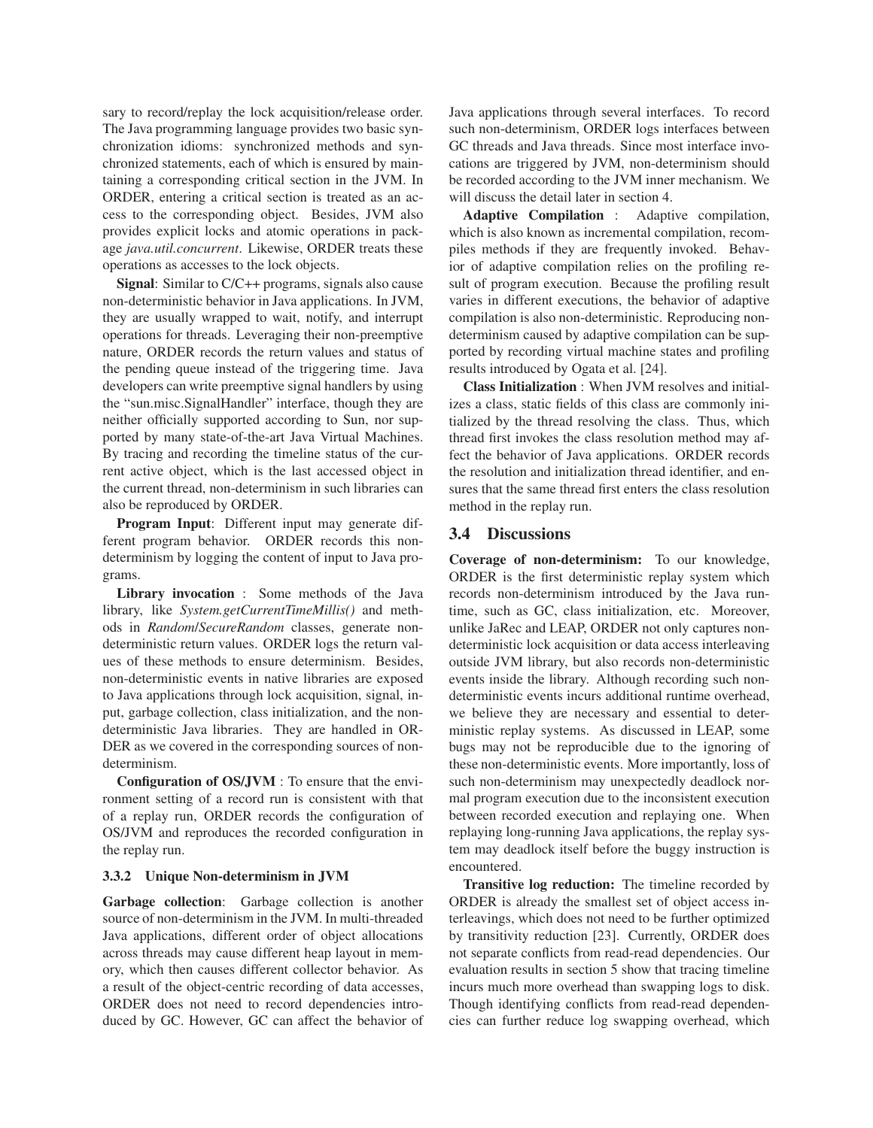sary to record/replay the lock acquisition/release order. The Java programming language provides two basic synchronization idioms: synchronized methods and synchronized statements, each of which is ensured by maintaining a corresponding critical section in the JVM. In ORDER, entering a critical section is treated as an access to the corresponding object. Besides, JVM also provides explicit locks and atomic operations in package *java.util.concurrent*. Likewise, ORDER treats these operations as accesses to the lock objects.

Signal: Similar to C/C++ programs, signals also cause non-deterministic behavior in Java applications. In JVM, they are usually wrapped to wait, notify, and interrupt operations for threads. Leveraging their non-preemptive nature, ORDER records the return values and status of the pending queue instead of the triggering time. Java developers can write preemptive signal handlers by using the "sun.misc.SignalHandler" interface, though they are neither officially supported according to Sun, nor supported by many state-of-the-art Java Virtual Machines. By tracing and recording the timeline status of the current active object, which is the last accessed object in the current thread, non-determinism in such libraries can also be reproduced by ORDER.

Program Input: Different input may generate different program behavior. ORDER records this nondeterminism by logging the content of input to Java programs.

Library invocation : Some methods of the Java library, like *System.getCurrentTimeMillis()* and methods in *Random*/*SecureRandom* classes, generate nondeterministic return values. ORDER logs the return values of these methods to ensure determinism. Besides, non-deterministic events in native libraries are exposed to Java applications through lock acquisition, signal, input, garbage collection, class initialization, and the nondeterministic Java libraries. They are handled in OR-DER as we covered in the corresponding sources of nondeterminism.

Configuration of OS/JVM : To ensure that the environment setting of a record run is consistent with that of a replay run, ORDER records the configuration of OS/JVM and reproduces the recorded configuration in the replay run.

#### 3.3.2 Unique Non-determinism in JVM

Garbage collection: Garbage collection is another source of non-determinism in the JVM. In multi-threaded Java applications, different order of object allocations across threads may cause different heap layout in memory, which then causes different collector behavior. As a result of the object-centric recording of data accesses, ORDER does not need to record dependencies introduced by GC. However, GC can affect the behavior of Java applications through several interfaces. To record such non-determinism, ORDER logs interfaces between GC threads and Java threads. Since most interface invocations are triggered by JVM, non-determinism should be recorded according to the JVM inner mechanism. We will discuss the detail later in section 4.

Adaptive Compilation : Adaptive compilation, which is also known as incremental compilation, recompiles methods if they are frequently invoked. Behavior of adaptive compilation relies on the profiling result of program execution. Because the profiling result varies in different executions, the behavior of adaptive compilation is also non-deterministic. Reproducing nondeterminism caused by adaptive compilation can be supported by recording virtual machine states and profiling results introduced by Ogata et al. [24].

Class Initialization : When JVM resolves and initializes a class, static fields of this class are commonly initialized by the thread resolving the class. Thus, which thread first invokes the class resolution method may affect the behavior of Java applications. ORDER records the resolution and initialization thread identifier, and ensures that the same thread first enters the class resolution method in the replay run.

#### 3.4 Discussions

Coverage of non-determinism: To our knowledge, ORDER is the first deterministic replay system which records non-determinism introduced by the Java runtime, such as GC, class initialization, etc. Moreover, unlike JaRec and LEAP, ORDER not only captures nondeterministic lock acquisition or data access interleaving outside JVM library, but also records non-deterministic events inside the library. Although recording such nondeterministic events incurs additional runtime overhead, we believe they are necessary and essential to deterministic replay systems. As discussed in LEAP, some bugs may not be reproducible due to the ignoring of these non-deterministic events. More importantly, loss of such non-determinism may unexpectedly deadlock normal program execution due to the inconsistent execution between recorded execution and replaying one. When replaying long-running Java applications, the replay system may deadlock itself before the buggy instruction is encountered.

Transitive log reduction: The timeline recorded by ORDER is already the smallest set of object access interleavings, which does not need to be further optimized by transitivity reduction [23]. Currently, ORDER does not separate conflicts from read-read dependencies. Our evaluation results in section 5 show that tracing timeline incurs much more overhead than swapping logs to disk. Though identifying conflicts from read-read dependencies can further reduce log swapping overhead, which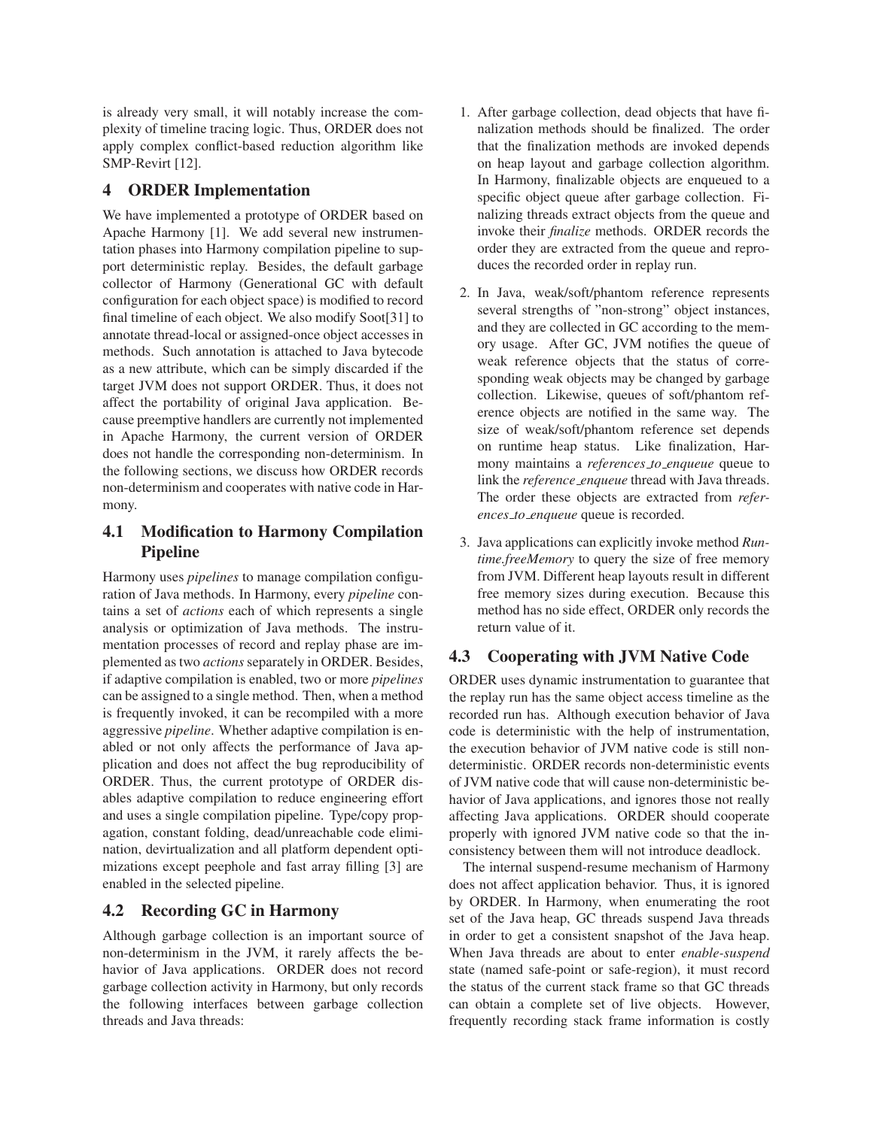is already very small, it will notably increase the complexity of timeline tracing logic. Thus, ORDER does not apply complex conflict-based reduction algorithm like SMP-Revirt [12].

# 4 ORDER Implementation

We have implemented a prototype of ORDER based on Apache Harmony [1]. We add several new instrumentation phases into Harmony compilation pipeline to support deterministic replay. Besides, the default garbage collector of Harmony (Generational GC with default configuration for each object space) is modified to record final timeline of each object. We also modify Soot[31] to annotate thread-local or assigned-once object accesses in methods. Such annotation is attached to Java bytecode as a new attribute, which can be simply discarded if the target JVM does not support ORDER. Thus, it does not affect the portability of original Java application. Because preemptive handlers are currently not implemented in Apache Harmony, the current version of ORDER does not handle the corresponding non-determinism. In the following sections, we discuss how ORDER records non-determinism and cooperates with native code in Harmony.

# 4.1 Modification to Harmony Compilation Pipeline

Harmony uses *pipelines* to manage compilation configuration of Java methods. In Harmony, every *pipeline* contains a set of *actions* each of which represents a single analysis or optimization of Java methods. The instrumentation processes of record and replay phase are implemented as two *actions* separately in ORDER. Besides, if adaptive compilation is enabled, two or more *pipelines* can be assigned to a single method. Then, when a method is frequently invoked, it can be recompiled with a more aggressive *pipeline*. Whether adaptive compilation is enabled or not only affects the performance of Java application and does not affect the bug reproducibility of ORDER. Thus, the current prototype of ORDER disables adaptive compilation to reduce engineering effort and uses a single compilation pipeline. Type/copy propagation, constant folding, dead/unreachable code elimination, devirtualization and all platform dependent optimizations except peephole and fast array filling [3] are enabled in the selected pipeline.

# 4.2 Recording GC in Harmony

Although garbage collection is an important source of non-determinism in the JVM, it rarely affects the behavior of Java applications. ORDER does not record garbage collection activity in Harmony, but only records the following interfaces between garbage collection threads and Java threads:

- 1. After garbage collection, dead objects that have finalization methods should be finalized. The order that the finalization methods are invoked depends on heap layout and garbage collection algorithm. In Harmony, finalizable objects are enqueued to a specific object queue after garbage collection. Finalizing threads extract objects from the queue and invoke their *finalize* methods. ORDER records the order they are extracted from the queue and reproduces the recorded order in replay run.
- 2. In Java, weak/soft/phantom reference represents several strengths of "non-strong" object instances, and they are collected in GC according to the memory usage. After GC, JVM notifies the queue of weak reference objects that the status of corresponding weak objects may be changed by garbage collection. Likewise, queues of soft/phantom reference objects are notified in the same way. The size of weak/soft/phantom reference set depends on runtime heap status. Like finalization, Harmony maintains a *references to enqueue* queue to link the *reference enqueue* thread with Java threads. The order these objects are extracted from *references to enqueue* queue is recorded.
- 3. Java applications can explicitly invoke method *Runtime.freeMemory* to query the size of free memory from JVM. Different heap layouts result in different free memory sizes during execution. Because this method has no side effect, ORDER only records the return value of it.

# 4.3 Cooperating with JVM Native Code

ORDER uses dynamic instrumentation to guarantee that the replay run has the same object access timeline as the recorded run has. Although execution behavior of Java code is deterministic with the help of instrumentation, the execution behavior of JVM native code is still nondeterministic. ORDER records non-deterministic events of JVM native code that will cause non-deterministic behavior of Java applications, and ignores those not really affecting Java applications. ORDER should cooperate properly with ignored JVM native code so that the inconsistency between them will not introduce deadlock.

The internal suspend-resume mechanism of Harmony does not affect application behavior. Thus, it is ignored by ORDER. In Harmony, when enumerating the root set of the Java heap, GC threads suspend Java threads in order to get a consistent snapshot of the Java heap. When Java threads are about to enter *enable-suspend* state (named safe-point or safe-region), it must record the status of the current stack frame so that GC threads can obtain a complete set of live objects. However, frequently recording stack frame information is costly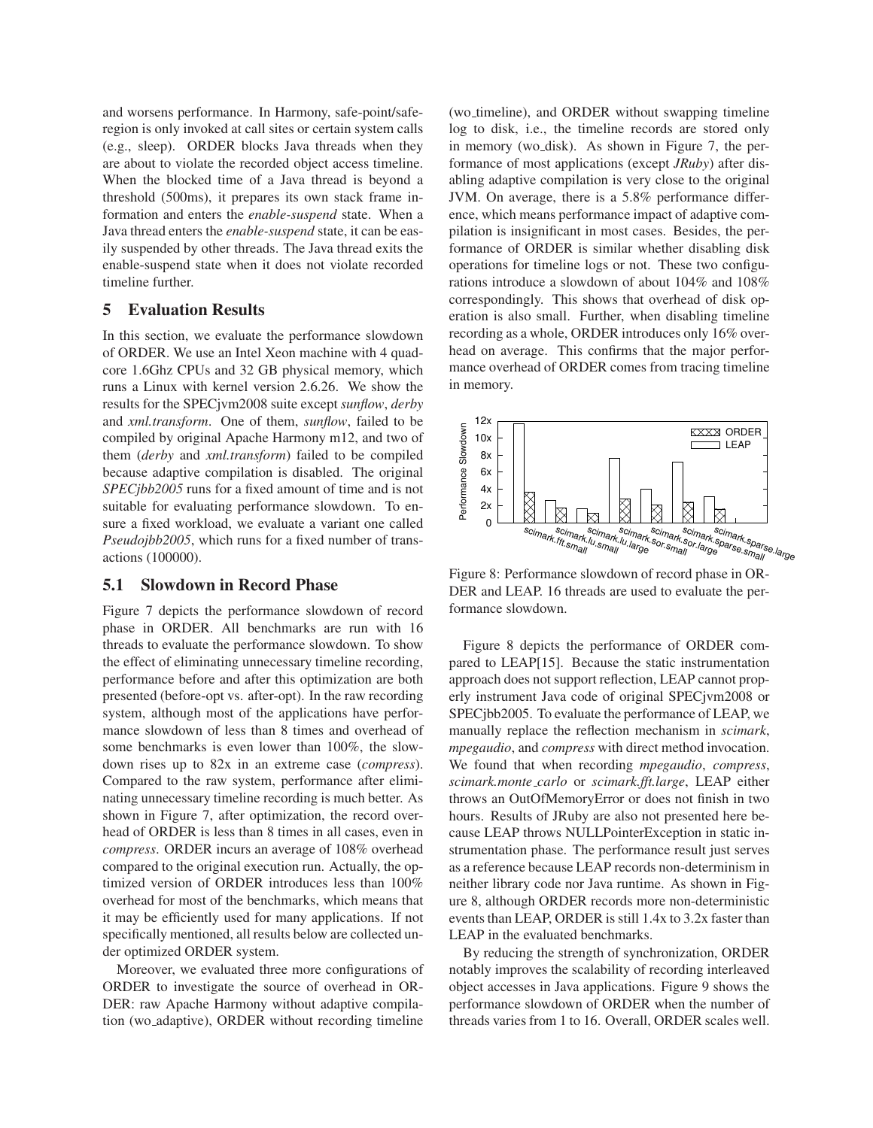and worsens performance. In Harmony, safe-point/saferegion is only invoked at call sites or certain system calls (e.g., sleep). ORDER blocks Java threads when they are about to violate the recorded object access timeline. When the blocked time of a Java thread is beyond a threshold (500ms), it prepares its own stack frame information and enters the *enable-suspend* state. When a Java thread enters the *enable-suspend* state, it can be easily suspended by other threads. The Java thread exits the enable-suspend state when it does not violate recorded timeline further.

# 5 Evaluation Results

In this section, we evaluate the performance slowdown of ORDER. We use an Intel Xeon machine with 4 quadcore 1.6Ghz CPUs and 32 GB physical memory, which runs a Linux with kernel version 2.6.26. We show the results for the SPECjvm2008 suite except *sunflow*, *derby* and *xml.transform*. One of them, *sunflow*, failed to be compiled by original Apache Harmony m12, and two of them (*derby* and *xml.transform*) failed to be compiled because adaptive compilation is disabled. The original *SPECjbb2005* runs for a fixed amount of time and is not suitable for evaluating performance slowdown. To ensure a fixed workload, we evaluate a variant one called *Pseudojbb2005*, which runs for a fixed number of transactions (100000).

## 5.1 Slowdown in Record Phase

Figure 7 depicts the performance slowdown of record phase in ORDER. All benchmarks are run with 16 threads to evaluate the performance slowdown. To show the effect of eliminating unnecessary timeline recording, performance before and after this optimization are both presented (before-opt vs. after-opt). In the raw recording system, although most of the applications have performance slowdown of less than 8 times and overhead of some benchmarks is even lower than 100%, the slowdown rises up to 82x in an extreme case (*compress*). Compared to the raw system, performance after eliminating unnecessary timeline recording is much better. As shown in Figure 7, after optimization, the record overhead of ORDER is less than 8 times in all cases, even in *compress*. ORDER incurs an average of 108% overhead compared to the original execution run. Actually, the optimized version of ORDER introduces less than 100% overhead for most of the benchmarks, which means that it may be efficiently used for many applications. If not specifically mentioned, all results below are collected under optimized ORDER system.

Moreover, we evaluated three more configurations of ORDER to investigate the source of overhead in OR-DER: raw Apache Harmony without adaptive compilation (wo adaptive), ORDER without recording timeline (wo timeline), and ORDER without swapping timeline log to disk, i.e., the timeline records are stored only in memory (wo disk). As shown in Figure 7, the performance of most applications (except *JRuby*) after disabling adaptive compilation is very close to the original JVM. On average, there is a 5.8% performance difference, which means performance impact of adaptive compilation is insignificant in most cases. Besides, the performance of ORDER is similar whether disabling disk operations for timeline logs or not. These two configurations introduce a slowdown of about 104% and 108% correspondingly. This shows that overhead of disk operation is also small. Further, when disabling timeline recording as a whole, ORDER introduces only 16% overhead on average. This confirms that the major performance overhead of ORDER comes from tracing timeline in memory.



Figure 8: Performance slowdown of record phase in OR-DER and LEAP. 16 threads are used to evaluate the performance slowdown.

Figure 8 depicts the performance of ORDER compared to LEAP[15]. Because the static instrumentation approach does not support reflection, LEAP cannot properly instrument Java code of original SPECjvm2008 or SPECjbb2005. To evaluate the performance of LEAP, we manually replace the reflection mechanism in *scimark*, *mpegaudio*, and *compress* with direct method invocation. We found that when recording *mpegaudio*, *compress*, *scimark.monte carlo* or *scimark.fft.large*, LEAP either throws an OutOfMemoryError or does not finish in two hours. Results of JRuby are also not presented here because LEAP throws NULLPointerException in static instrumentation phase. The performance result just serves as a reference because LEAP records non-determinism in neither library code nor Java runtime. As shown in Figure 8, although ORDER records more non-deterministic events than LEAP, ORDER is still 1.4x to 3.2x faster than LEAP in the evaluated benchmarks.

By reducing the strength of synchronization, ORDER notably improves the scalability of recording interleaved object accesses in Java applications. Figure 9 shows the performance slowdown of ORDER when the number of threads varies from 1 to 16. Overall, ORDER scales well.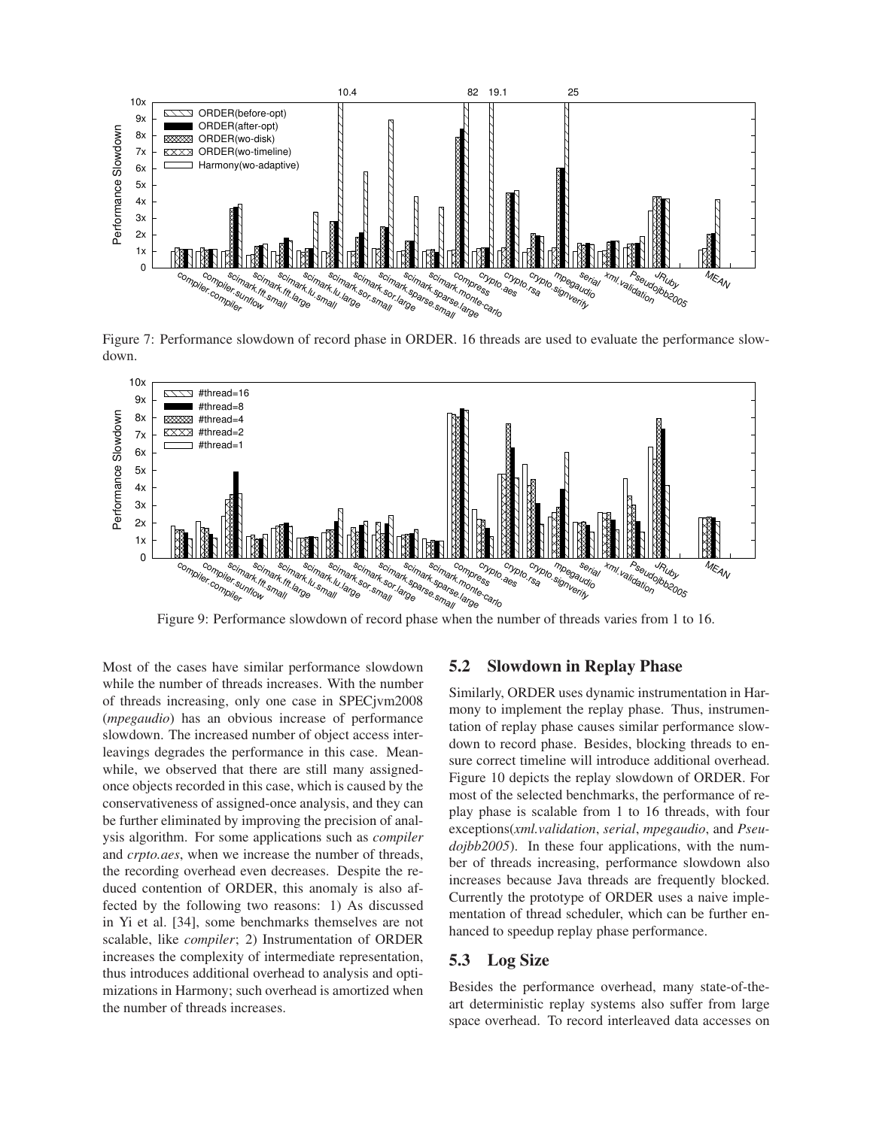

Figure 7: Performance slowdown of record phase in ORDER. 16 threads are used to evaluate the performance slowdown.



Figure 9: Performance slowdown of record phase when the number of threads varies from 1 to 16.

Most of the cases have similar performance slowdown while the number of threads increases. With the number of threads increasing, only one case in SPECjvm2008 (*mpegaudio*) has an obvious increase of performance slowdown. The increased number of object access interleavings degrades the performance in this case. Meanwhile, we observed that there are still many assignedonce objects recorded in this case, which is caused by the conservativeness of assigned-once analysis, and they can be further eliminated by improving the precision of analysis algorithm. For some applications such as *compiler* and *crpto.aes*, when we increase the number of threads, the recording overhead even decreases. Despite the reduced contention of ORDER, this anomaly is also affected by the following two reasons: 1) As discussed in Yi et al. [34], some benchmarks themselves are not scalable, like *compiler*; 2) Instrumentation of ORDER increases the complexity of intermediate representation, thus introduces additional overhead to analysis and optimizations in Harmony; such overhead is amortized when the number of threads increases.

## 5.2 Slowdown in Replay Phase

Similarly, ORDER uses dynamic instrumentation in Harmony to implement the replay phase. Thus, instrumentation of replay phase causes similar performance slowdown to record phase. Besides, blocking threads to ensure correct timeline will introduce additional overhead. Figure 10 depicts the replay slowdown of ORDER. For most of the selected benchmarks, the performance of replay phase is scalable from 1 to 16 threads, with four exceptions(*xml.validation*, *serial*, *mpegaudio*, and *Pseudojbb2005*). In these four applications, with the number of threads increasing, performance slowdown also increases because Java threads are frequently blocked. Currently the prototype of ORDER uses a naive implementation of thread scheduler, which can be further enhanced to speedup replay phase performance.

# 5.3 Log Size

Besides the performance overhead, many state-of-theart deterministic replay systems also suffer from large space overhead. To record interleaved data accesses on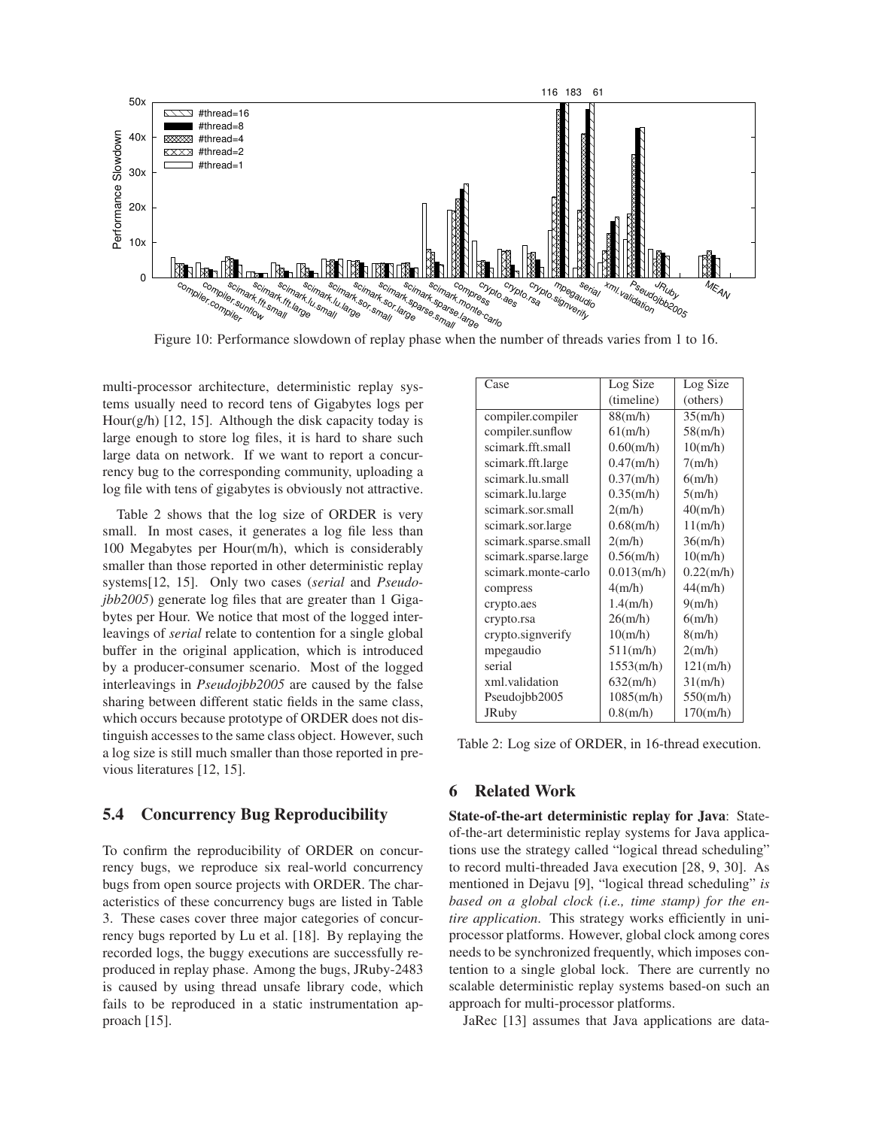

Figure 10: Performance slowdown of replay phase when the number of threads varies from 1 to 16.

multi-processor architecture, deterministic replay systems usually need to record tens of Gigabytes logs per Hour(g/h) [12, 15]. Although the disk capacity today is large enough to store log files, it is hard to share such large data on network. If we want to report a concurrency bug to the corresponding community, uploading a log file with tens of gigabytes is obviously not attractive.

Table 2 shows that the log size of ORDER is very small. In most cases, it generates a log file less than 100 Megabytes per Hour(m/h), which is considerably smaller than those reported in other deterministic replay systems[12, 15]. Only two cases (*serial* and *Pseudojbb2005*) generate log files that are greater than 1 Gigabytes per Hour. We notice that most of the logged interleavings of *serial* relate to contention for a single global buffer in the original application, which is introduced by a producer-consumer scenario. Most of the logged interleavings in *Pseudojbb2005* are caused by the false sharing between different static fields in the same class, which occurs because prototype of ORDER does not distinguish accesses to the same class object. However, such a log size is still much smaller than those reported in previous literatures [12, 15].

# 5.4 Concurrency Bug Reproducibility

To confirm the reproducibility of ORDER on concurrency bugs, we reproduce six real-world concurrency bugs from open source projects with ORDER. The characteristics of these concurrency bugs are listed in Table 3. These cases cover three major categories of concurrency bugs reported by Lu et al. [18]. By replaying the recorded logs, the buggy executions are successfully reproduced in replay phase. Among the bugs, JRuby-2483 is caused by using thread unsafe library code, which fails to be reproduced in a static instrumentation approach [15].

| Case                 | Log Size      | Log Size  |
|----------------------|---------------|-----------|
|                      | (timeline)    | (others)  |
| compiler.compiler    | 88(m/h)       | 35(m/h)   |
| compiler.sunflow     | 61(m/h)       | 58(m/h)   |
| scimark.fft.small    | $0.60$ (m/h)  | 10(m/h)   |
| scimark.fft.large    | $0.47$ (m/h)  | 7(m/h)    |
| scimark.lu.small     | $0.37$ (m/h)  | 6(m/h)    |
| scimark.lu.large     | $0.35$ (m/h)  | 5(m/h)    |
| scimark.sor.small    | 2(m/h)        | 40(m/h)   |
| scimark.sor.large    | $0.68$ (m/h)  | 11(m/h)   |
| scimark.sparse.small | 2(m/h)        | 36(m/h)   |
| scimark.sparse.large | $0.56$ (m/h)  | 10(m/h)   |
| scimark.monte-carlo  | $0.013$ (m/h) | 0.22(m/h) |
| compress             | 4(m/h)        | 44(m/h)   |
| crypto.aes           | 1.4(m/h)      | 9(m/h)    |
| crypto.rsa           | 26(m/h)       | 6(m/h)    |
| crypto.signverify    | 10(m/h)       | 8(m/h)    |
| mpegaudio            | 511(m/h)      | 2(m/h)    |
| serial               | 1553(m/h)     | 121(m/h)  |
| xml.validation       | 632(m/h)      | 31(m/h)   |
| Pseudojbb2005        | 1085(m/h)     | 550(m/h)  |
| <b>JRuby</b>         | $0.8$ (m/h)   | 170(m/h)  |

Table 2: Log size of ORDER, in 16-thread execution.

# 6 Related Work

State-of-the-art deterministic replay for Java: Stateof-the-art deterministic replay systems for Java applications use the strategy called "logical thread scheduling" to record multi-threaded Java execution [28, 9, 30]. As mentioned in Dejavu [9], "logical thread scheduling" *is based on a global clock (i.e., time stamp) for the entire application*. This strategy works efficiently in uniprocessor platforms. However, global clock among cores needs to be synchronized frequently, which imposes contention to a single global lock. There are currently no scalable deterministic replay systems based-on such an approach for multi-processor platforms.

JaRec [13] assumes that Java applications are data-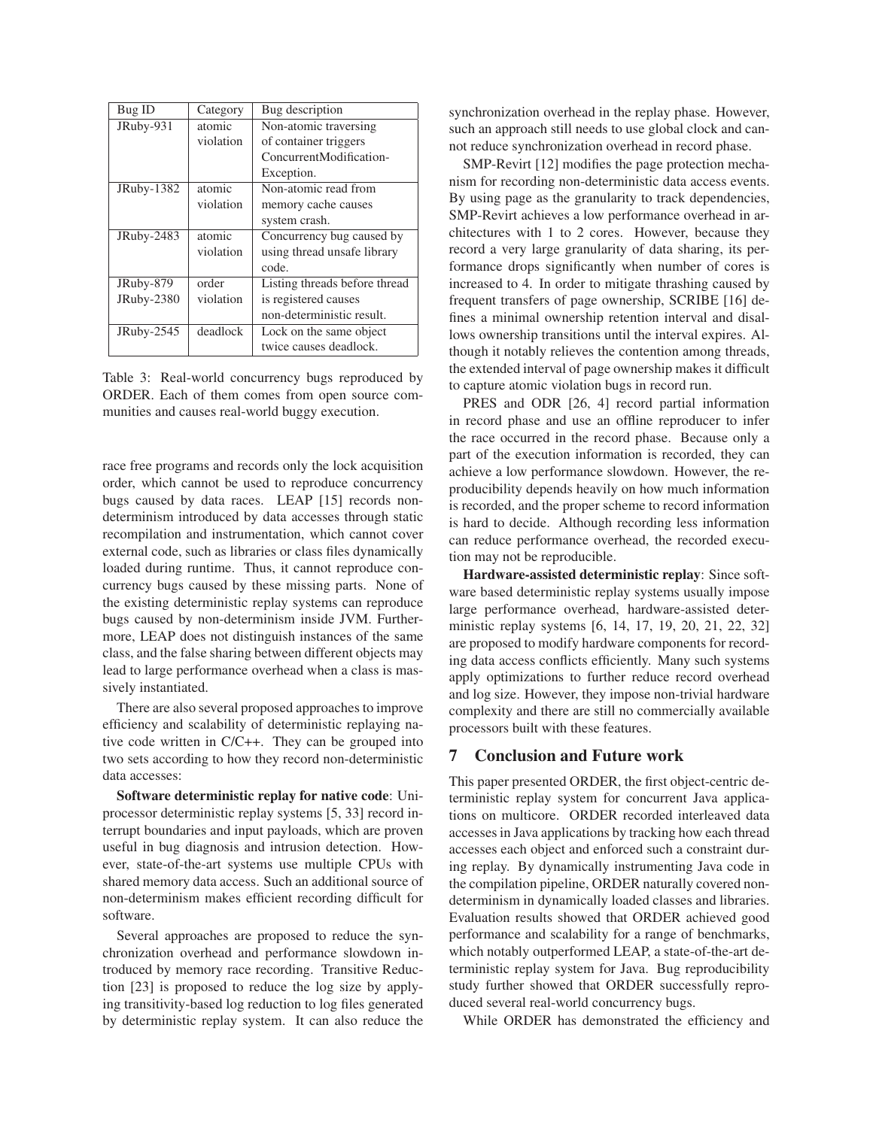| Bug ID     | Category  | Bug description               |
|------------|-----------|-------------------------------|
| JRuby-931  | atomic    | Non-atomic traversing         |
|            | violation | of container triggers         |
|            |           | ConcurrentModification-       |
|            |           | Exception.                    |
| JRuby-1382 | atomic    | Non-atomic read from          |
|            | violation | memory cache causes           |
|            |           | system crash.                 |
| JRuby-2483 | atomic    | Concurrency bug caused by     |
|            | violation | using thread unsafe library   |
|            |           | code.                         |
| JRuby-879  | order     | Listing threads before thread |
| JRuby-2380 | violation | is registered causes          |
|            |           | non-deterministic result.     |
| JRuby-2545 | deadlock  | Lock on the same object       |
|            |           | twice causes deadlock.        |

Table 3: Real-world concurrency bugs reproduced by ORDER. Each of them comes from open source communities and causes real-world buggy execution.

race free programs and records only the lock acquisition order, which cannot be used to reproduce concurrency bugs caused by data races. LEAP [15] records nondeterminism introduced by data accesses through static recompilation and instrumentation, which cannot cover external code, such as libraries or class files dynamically loaded during runtime. Thus, it cannot reproduce concurrency bugs caused by these missing parts. None of the existing deterministic replay systems can reproduce bugs caused by non-determinism inside JVM. Furthermore, LEAP does not distinguish instances of the same class, and the false sharing between different objects may lead to large performance overhead when a class is massively instantiated.

There are also several proposed approaches to improve efficiency and scalability of deterministic replaying native code written in C/C++. They can be grouped into two sets according to how they record non-deterministic data accesses:

Software deterministic replay for native code: Uniprocessor deterministic replay systems [5, 33] record interrupt boundaries and input payloads, which are proven useful in bug diagnosis and intrusion detection. However, state-of-the-art systems use multiple CPUs with shared memory data access. Such an additional source of non-determinism makes efficient recording difficult for software.

Several approaches are proposed to reduce the synchronization overhead and performance slowdown introduced by memory race recording. Transitive Reduction [23] is proposed to reduce the log size by applying transitivity-based log reduction to log files generated by deterministic replay system. It can also reduce the synchronization overhead in the replay phase. However, such an approach still needs to use global clock and cannot reduce synchronization overhead in record phase.

SMP-Revirt [12] modifies the page protection mechanism for recording non-deterministic data access events. By using page as the granularity to track dependencies, SMP-Revirt achieves a low performance overhead in architectures with 1 to 2 cores. However, because they record a very large granularity of data sharing, its performance drops significantly when number of cores is increased to 4. In order to mitigate thrashing caused by frequent transfers of page ownership, SCRIBE [16] defines a minimal ownership retention interval and disallows ownership transitions until the interval expires. Although it notably relieves the contention among threads, the extended interval of page ownership makes it difficult to capture atomic violation bugs in record run.

PRES and ODR [26, 4] record partial information in record phase and use an offline reproducer to infer the race occurred in the record phase. Because only a part of the execution information is recorded, they can achieve a low performance slowdown. However, the reproducibility depends heavily on how much information is recorded, and the proper scheme to record information is hard to decide. Although recording less information can reduce performance overhead, the recorded execution may not be reproducible.

Hardware-assisted deterministic replay: Since software based deterministic replay systems usually impose large performance overhead, hardware-assisted deterministic replay systems [6, 14, 17, 19, 20, 21, 22, 32] are proposed to modify hardware components for recording data access conflicts efficiently. Many such systems apply optimizations to further reduce record overhead and log size. However, they impose non-trivial hardware complexity and there are still no commercially available processors built with these features.

## 7 Conclusion and Future work

This paper presented ORDER, the first object-centric deterministic replay system for concurrent Java applications on multicore. ORDER recorded interleaved data accesses in Java applications by tracking how each thread accesses each object and enforced such a constraint during replay. By dynamically instrumenting Java code in the compilation pipeline, ORDER naturally covered nondeterminism in dynamically loaded classes and libraries. Evaluation results showed that ORDER achieved good performance and scalability for a range of benchmarks, which notably outperformed LEAP, a state-of-the-art deterministic replay system for Java. Bug reproducibility study further showed that ORDER successfully reproduced several real-world concurrency bugs.

While ORDER has demonstrated the efficiency and